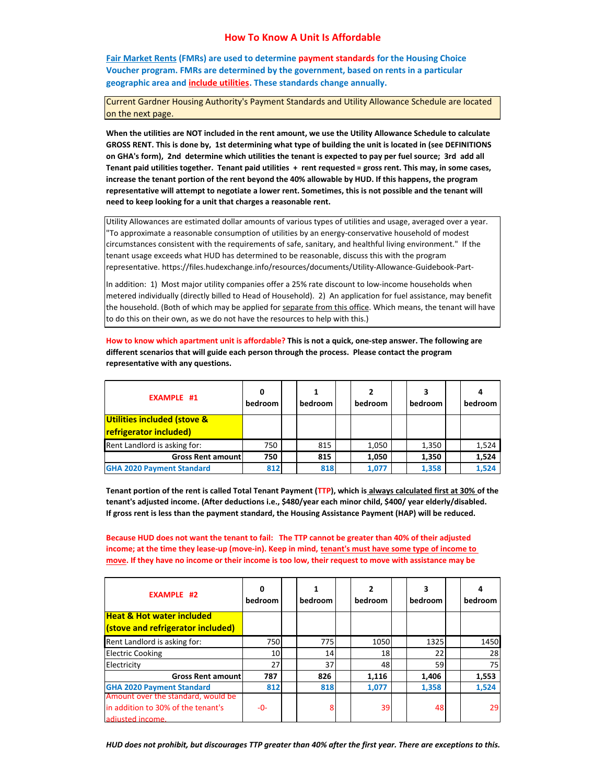## **How To Know A Unit Is Affordable**

**Fair Market Rents (FMRs) are used to determine payment standards for the Housing Choice Voucher program. FMRs are determined by the government, based on rents in a particular geographic area and include utilities. These standards change annually.**

Current Gardner Housing Authority's Payment Standards and Utility Allowance Schedule are located on the next page.

When the utilities are NOT included in the rent amount, we use the Utility Allowance Schedule to calculate GROSS RENT. This is done by, 1st determining what type of building the unit is located in (see DEFINITIONS on GHA's form), 2nd determine which utilities the tenant is expected to pay per fuel source; 3rd add all Tenant paid utilities together. Tenant paid utilities + rent requested = gross rent. This may, in some cases, increase the tenant portion of the rent beyond the 40% allowable by HUD. If this happens, the program representative will attempt to negotiate a lower rent. Sometimes, this is not possible and the tenant will **need to keep looking for a unit that charges a reasonable rent.**

Utility Allowances are estimated dollar amounts of various types of utilities and usage, averaged over a year. "To approximate a reasonable consumption of utilities by an energy‐conservative household of modest circumstances consistent with the requirements of safe, sanitary, and healthful living environment." If the tenant usage exceeds what HUD has determined to be reasonable, discuss this with the program representative. https://files.hudexchange.info/resources/documents/Utility‐Allowance‐Guidebook‐Part‐

In addition: 1) Most major utility companies offer a 25% rate discount to low-income households when metered individually (directly billed to Head of Household). 2) An application for fuel assistance, may benefit the household. (Both of which may be applied for separate from this office. Which means, the tenant will have to do this on their own, as we do not have the resources to help with this.)

How to know which apartment unit is affordable? This is not a quick, one-step answer. The following are **different scenarios that will guide each person through the process. Please contact the program representative with any questions.**

| <b>EXAMPLE #1</b>                                     | 0<br>bedroom | bedroom | bedroom | 3<br>bedroom | bedroom |
|-------------------------------------------------------|--------------|---------|---------|--------------|---------|
| Utilities included (stove &<br>refrigerator included) |              |         |         |              |         |
| Rent Landlord is asking for:                          | 750          | 815     | 1,050   | 1,350        | 1,524   |
| <b>Gross Rent amount</b>                              | 750          | 815     | 1,050   | 1,350        | 1,524   |
| <b>GHA 2020 Payment Standard</b>                      | 812          | 818     | 1.077   | 1,358        | 1,524   |

Tenant portion of the rent is called Total Tenant Payment (TTP), which is always calculated first at 30% of the **tenant's adjusted income. (After deductions i.e., \$480/year each minor child, \$400/ year elderly/disabled. If gross rent is less than the payment standard, the Housing Assistance Payment (HAP) will be reduced.**

Because HUD does not want the tenant to fail: The TTP cannot be greater than 40% of their adjusted income; at the time they lease-up (move-in). Keep in mind, tenant's must have some type of income to move. If they have no income or their income is too low, their request to move with assistance may be

| <b>EXAMPLE #2</b>                    | bedroom | bedroom | bedroom | 3<br>bedroom | bedroom |
|--------------------------------------|---------|---------|---------|--------------|---------|
| <b>Heat &amp; Hot water included</b> |         |         |         |              |         |
| (stove and refrigerator included)    |         |         |         |              |         |
| Rent Landlord is asking for:         | 750     | 775     | 1050    | 1325         | 1450    |
| <b>Electric Cooking</b>              | 10      | 14      | 18      | 22           | 28      |
| Electricity                          | 27      | 37      | 48      | 59           | 75      |
| <b>Gross Rent amountl</b>            | 787     | 826     | 1,116   | 1,406        | 1,553   |
| <b>GHA 2020 Payment Standard</b>     | 812     | 818     | 1.077   | 1,358        | 1,524   |
| Amount over the standard, would be   |         |         |         |              |         |
| in addition to 30% of the tenant's   | -0-     | 8       | 39      | 48           | 29      |
| adiusted income.                     |         |         |         |              |         |

HUD does not prohibit, but discourages TTP greater than 40% after the first year. There are exceptions to this.